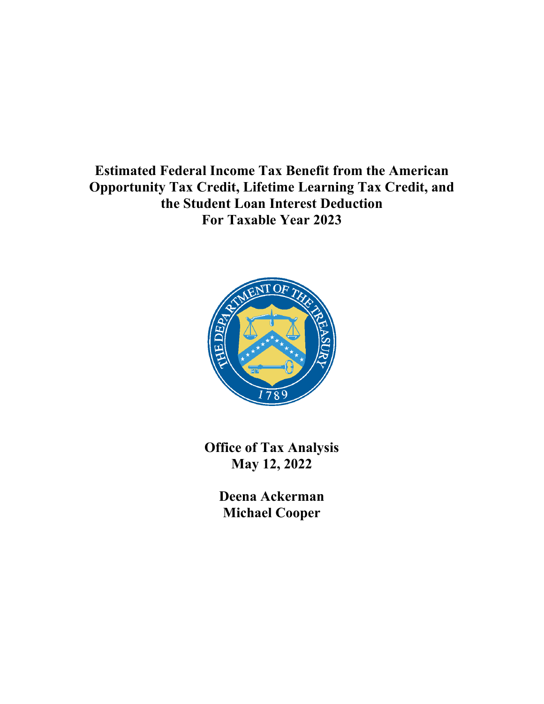**Estimated Federal Income Tax Benefit from the American Opportunity Tax Credit, Lifetime Learning Tax Credit, and the Student Loan Interest Deduction For Taxable Year 2023**



**Office of Tax Analysis May 12, 2022**

> **Deena Ackerman Michael Cooper**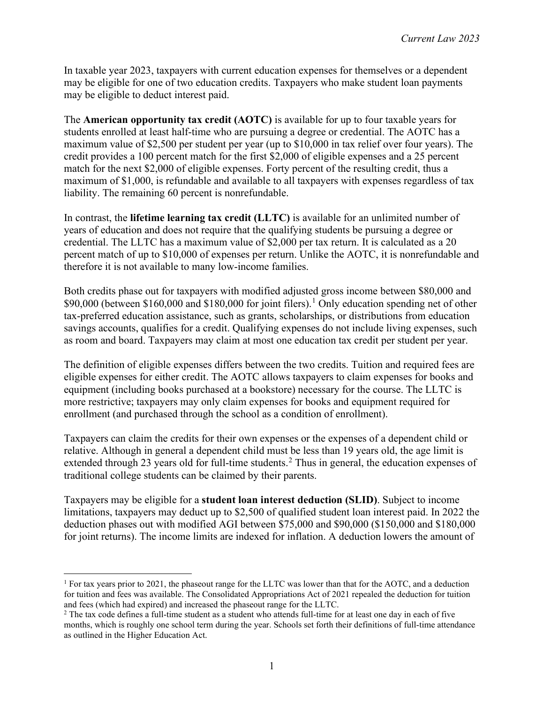In taxable year 2023, taxpayers with current education expenses for themselves or a dependent may be eligible for one of two education credits. Taxpayers who make student loan payments may be eligible to deduct interest paid.

The **American opportunity tax credit (AOTC)** is available for up to four taxable years for students enrolled at least half-time who are pursuing a degree or credential. The AOTC has a maximum value of \$2,500 per student per year (up to \$10,000 in tax relief over four years). The credit provides a 100 percent match for the first \$2,000 of eligible expenses and a 25 percent match for the next \$2,000 of eligible expenses. Forty percent of the resulting credit, thus a maximum of \$1,000, is refundable and available to all taxpayers with expenses regardless of tax liability. The remaining 60 percent is nonrefundable.

In contrast, the **lifetime learning tax credit (LLTC)** is available for an unlimited number of years of education and does not require that the qualifying students be pursuing a degree or credential. The LLTC has a maximum value of \$2,000 per tax return. It is calculated as a 20 percent match of up to \$10,000 of expenses per return. Unlike the AOTC, it is nonrefundable and therefore it is not available to many low-income families.

Both credits phase out for taxpayers with modified adjusted gross income between \$80,000 and \$90,000 (between \$[1](#page-1-0)60,000 and \$180,000 for joint filers).<sup>1</sup> Only education spending net of other tax-preferred education assistance, such as grants, scholarships, or distributions from education savings accounts, qualifies for a credit. Qualifying expenses do not include living expenses, such as room and board. Taxpayers may claim at most one education tax credit per student per year.

The definition of eligible expenses differs between the two credits. Tuition and required fees are eligible expenses for either credit. The AOTC allows taxpayers to claim expenses for books and equipment (including books purchased at a bookstore) necessary for the course. The LLTC is more restrictive; taxpayers may only claim expenses for books and equipment required for enrollment (and purchased through the school as a condition of enrollment).

Taxpayers can claim the credits for their own expenses or the expenses of a dependent child or relative. Although in general a dependent child must be less than 19 years old, the age limit is extended through [2](#page-1-1)3 years old for full-time students.<sup>2</sup> Thus in general, the education expenses of traditional college students can be claimed by their parents.

Taxpayers may be eligible for a **student loan interest deduction (SLID)**. Subject to income limitations, taxpayers may deduct up to \$2,500 of qualified student loan interest paid. In 2022 the deduction phases out with modified AGI between \$75,000 and \$90,000 (\$150,000 and \$180,000 for joint returns). The income limits are indexed for inflation. A deduction lowers the amount of

<span id="page-1-0"></span><sup>&</sup>lt;sup>1</sup> For tax years prior to 2021, the phaseout range for the LLTC was lower than that for the AOTC, and a deduction for tuition and fees was available. The Consolidated Appropriations Act of 2021 repealed the deduction for tuition and fees (which had expired) and increased the phaseout range for the LLTC.

<span id="page-1-1"></span><sup>&</sup>lt;sup>2</sup> The tax code defines a full-time student as a student who attends full-time for at least one day in each of five months, which is roughly one school term during the year. Schools set forth their definitions of full-time attendance as outlined in the Higher Education Act.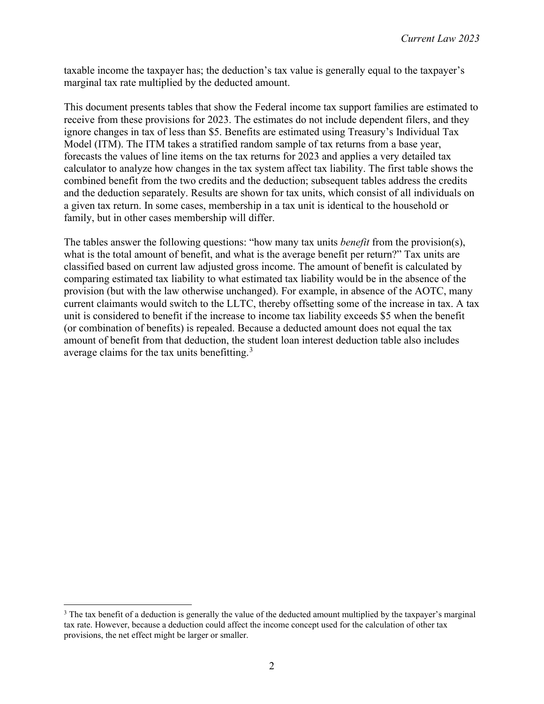taxable income the taxpayer has; the deduction's tax value is generally equal to the taxpayer's marginal tax rate multiplied by the deducted amount.

This document presents tables that show the Federal income tax support families are estimated to receive from these provisions for 2023. The estimates do not include dependent filers, and they ignore changes in tax of less than \$5. Benefits are estimated using Treasury's Individual Tax Model (ITM). The ITM takes a stratified random sample of tax returns from a base year, forecasts the values of line items on the tax returns for 2023 and applies a very detailed tax calculator to analyze how changes in the tax system affect tax liability. The first table shows the combined benefit from the two credits and the deduction; subsequent tables address the credits and the deduction separately. Results are shown for tax units, which consist of all individuals on a given tax return. In some cases, membership in a tax unit is identical to the household or family, but in other cases membership will differ.

The tables answer the following questions: "how many tax units *benefit* from the provision(s), what is the total amount of benefit, and what is the average benefit per return?" Tax units are classified based on current law adjusted gross income. The amount of benefit is calculated by comparing estimated tax liability to what estimated tax liability would be in the absence of the provision (but with the law otherwise unchanged). For example, in absence of the AOTC, many current claimants would switch to the LLTC, thereby offsetting some of the increase in tax. A tax unit is considered to benefit if the increase to income tax liability exceeds \$5 when the benefit (or combination of benefits) is repealed. Because a deducted amount does not equal the tax amount of benefit from that deduction, the student loan interest deduction table also includes average claims for the tax units benefitting.<sup>[3](#page-2-0)</sup>

<span id="page-2-0"></span> $3$  The tax benefit of a deduction is generally the value of the deducted amount multiplied by the taxpayer's marginal tax rate. However, because a deduction could affect the income concept used for the calculation of other tax provisions, the net effect might be larger or smaller.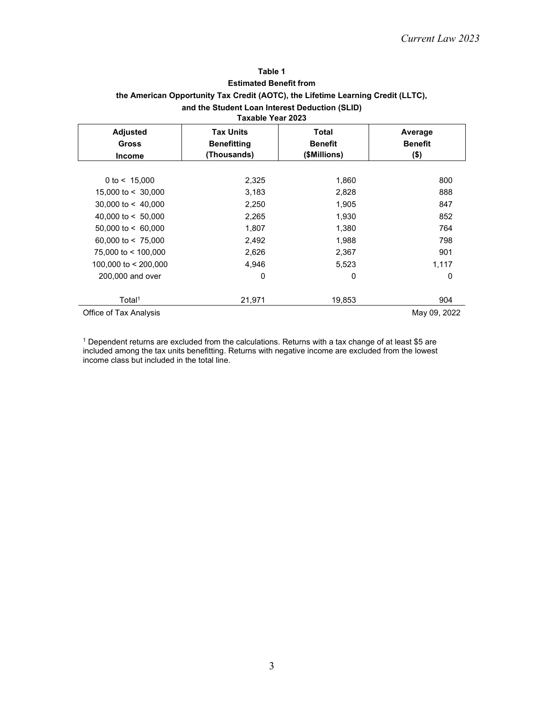### **Table 1 Estimated Benefit from the American Opportunity Tax Credit (AOTC), the Lifetime Learning Credit (LLTC), and the Student Loan Interest Deduction (SLID) Taxable Year 2023**

| Taxable Tear Zuzo         |                    |                |                |  |  |
|---------------------------|--------------------|----------------|----------------|--|--|
| <b>Adjusted</b>           | <b>Tax Units</b>   | Total          | Average        |  |  |
| <b>Gross</b>              | <b>Benefitting</b> | <b>Benefit</b> | <b>Benefit</b> |  |  |
| <b>Income</b>             | (Thousands)        | (\$Millions)   | $($ \$)        |  |  |
|                           |                    |                |                |  |  |
| 0 to $< 15,000$           | 2,325              | 1,860          | 800            |  |  |
| 15,000 to $<$ 30,000      | 3,183              | 2,828          | 888            |  |  |
| 30,000 to $< 40,000$      | 2,250              | 1,905          | 847            |  |  |
| 40,000 to $< 50,000$      | 2,265              | 1,930          | 852            |  |  |
| $50,000$ to $\leq 60,000$ | 1,807              | 1,380          | 764            |  |  |
| 60,000 to $< 75,000$      | 2,492              | 1,988          | 798            |  |  |
| 75,000 to < 100,000       | 2,626              | 2,367          | 901            |  |  |
| 100,000 to < 200,000      | 4,946              | 5,523          | 1,117          |  |  |
| 200,000 and over          | 0                  | 0              | 0              |  |  |
|                           |                    |                |                |  |  |
| Total <sup>1</sup>        | 21,971             | 19,853         | 904            |  |  |
| Office of Tax Analysis    |                    |                | May 09, 2022   |  |  |

<sup>1</sup> Dependent returns are excluded from the calculations. Returns with a tax change of at least \$5 are included among the tax units benefitting. Returns with negative income are excluded from the lowest income class but included in the total line.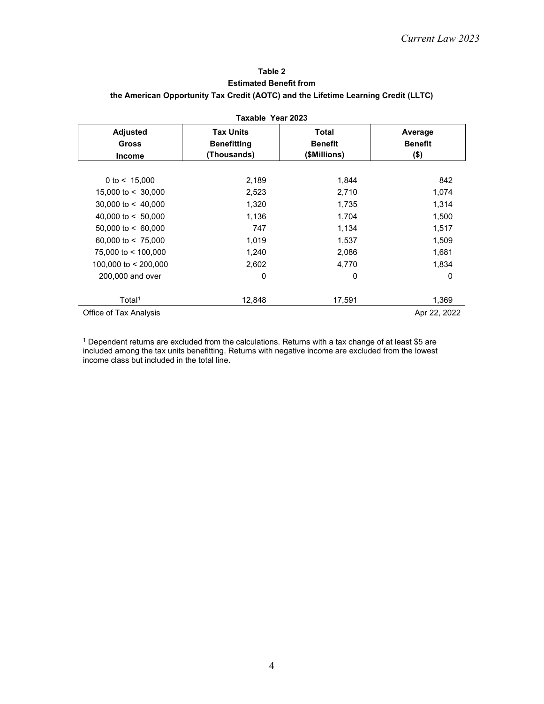# **Table 2 Estimated Benefit from the American Opportunity Tax Credit (AOTC) and the Lifetime Learning Credit (LLTC)**

| Taxable Year 2023                                |                                                       |                                                |                                      |  |
|--------------------------------------------------|-------------------------------------------------------|------------------------------------------------|--------------------------------------|--|
| <b>Adjusted</b><br><b>Gross</b><br><b>Income</b> | <b>Tax Units</b><br><b>Benefitting</b><br>(Thousands) | <b>Total</b><br><b>Benefit</b><br>(\$Millions) | Average<br><b>Benefit</b><br>$($ \$) |  |
| 0 to $< 15,000$                                  | 2,189                                                 | 1,844                                          | 842                                  |  |
| 15,000 to $<$ 30,000                             | 2,523                                                 | 2,710                                          | 1,074                                |  |
| $30,000$ to $\leq 40,000$                        | 1,320                                                 | 1,735                                          | 1,314                                |  |
| 40,000 to $< 50,000$                             | 1,136                                                 | 1,704                                          | 1,500                                |  |
| $50,000$ to < 60,000                             | 747                                                   | 1,134                                          | 1,517                                |  |
| 60,000 to $< 75,000$                             | 1,019                                                 | 1,537                                          | 1,509                                |  |
| 75,000 to < 100,000                              | 1,240                                                 | 2,086                                          | 1,681                                |  |
| 100,000 to < 200,000                             | 2,602                                                 | 4,770                                          | 1,834                                |  |
| 200,000 and over                                 | 0                                                     | 0                                              | 0                                    |  |
| Total <sup>1</sup>                               | 12,848                                                | 17,591                                         | 1,369                                |  |
| Office of Tax Analysis                           |                                                       |                                                | Apr 22, 2022                         |  |

<sup>1</sup> Dependent returns are excluded from the calculations. Returns with a tax change of at least \$5 are included among the tax units benefitting. Returns with negative income are excluded from the lowest income class but included in the total line.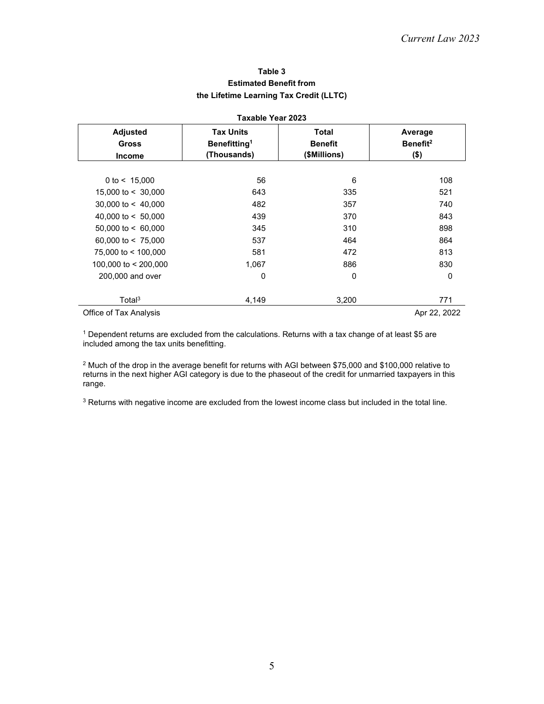# **Table 3 Estimated Benefit from the Lifetime Learning Tax Credit (LLTC)**

| Taxable Year 2023                                |                                                             |                                         |                                            |  |
|--------------------------------------------------|-------------------------------------------------------------|-----------------------------------------|--------------------------------------------|--|
| <b>Adjusted</b><br><b>Gross</b><br><b>Income</b> | <b>Tax Units</b><br>Benefitting <sup>1</sup><br>(Thousands) | Total<br><b>Benefit</b><br>(\$Millions) | Average<br>Benefit <sup>2</sup><br>$($ \$) |  |
| 0 to $< 15,000$                                  | 56                                                          | 6                                       | 108                                        |  |
| 15,000 to $<$ 30,000                             | 643                                                         | 335                                     | 521                                        |  |
| 30,000 to $< 40,000$                             | 482                                                         | 357                                     | 740                                        |  |
| 40,000 to $< 50,000$                             | 439                                                         | 370                                     | 843                                        |  |
| $50,000$ to < 60,000                             | 345                                                         | 310                                     | 898                                        |  |
| 60,000 to $< 75,000$                             | 537                                                         | 464                                     | 864                                        |  |
| 75,000 to < 100,000                              | 581                                                         | 472                                     | 813                                        |  |
| 100,000 to < 200,000                             | 1,067                                                       | 886                                     | 830                                        |  |
| 200,000 and over                                 | 0                                                           | 0                                       | 0                                          |  |
| Total <sup>3</sup>                               | 4,149                                                       | 3,200                                   | 771                                        |  |
| Office of Tax Analysis                           |                                                             |                                         | Apr 22, 2022                               |  |

<sup>1</sup> Dependent returns are excluded from the calculations. Returns with a tax change of at least \$5 are included among the tax units benefitting.

<sup>2</sup> Much of the drop in the average benefit for returns with AGI between \$75,000 and \$100,000 relative to returns in the next higher AGI category is due to the phaseout of the credit for unmarried taxpayers in this range.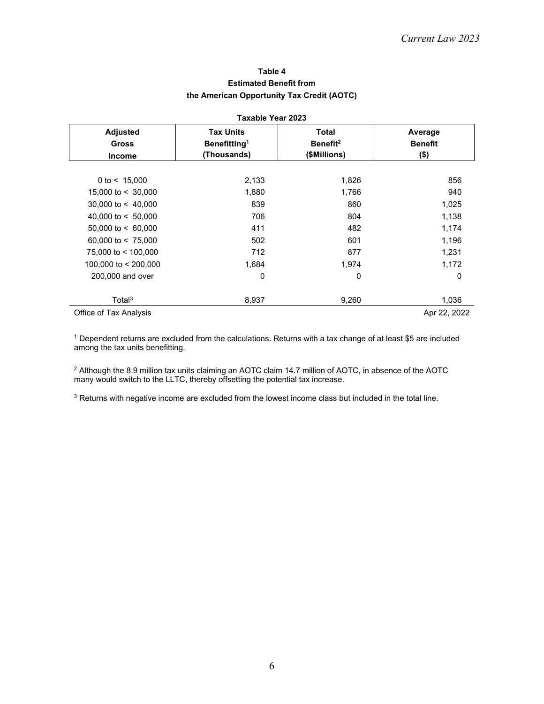# **Table 4 Estimated Benefit from the American Opportunity Tax Credit (AOTC)**

| Taxable Year 2023                                |                                                             |                                                      |                                      |  |
|--------------------------------------------------|-------------------------------------------------------------|------------------------------------------------------|--------------------------------------|--|
| <b>Adjusted</b><br><b>Gross</b><br><b>Income</b> | <b>Tax Units</b><br>Benefitting <sup>1</sup><br>(Thousands) | <b>Total</b><br>Benefit <sup>2</sup><br>(\$Millions) | Average<br><b>Benefit</b><br>$($ \$) |  |
|                                                  |                                                             |                                                      |                                      |  |
| 0 to $< 15,000$                                  | 2,133                                                       | 1,826                                                | 856                                  |  |
| 15,000 to $<$ 30,000                             | 1,880                                                       | 1,766                                                | 940                                  |  |
| 30,000 to $< 40,000$                             | 839                                                         | 860                                                  | 1,025                                |  |
| 40,000 to $< 50,000$                             | 706                                                         | 804                                                  | 1,138                                |  |
| $50,000$ to < 60,000                             | 411                                                         | 482                                                  | 1,174                                |  |
| 60,000 to $< 75,000$                             | 502                                                         | 601                                                  | 1,196                                |  |
| 75,000 to < 100,000                              | 712                                                         | 877                                                  | 1,231                                |  |
| 100,000 to < 200,000                             | 1,684                                                       | 1,974                                                | 1,172                                |  |
| 200,000 and over                                 | 0                                                           | 0                                                    | $\mathbf{0}$                         |  |
| Total <sup>3</sup>                               | 8,937                                                       | 9,260                                                | 1,036                                |  |
| Office of Tax Analysis                           |                                                             |                                                      | Apr 22, 2022                         |  |

<sup>1</sup> Dependent returns are excluded from the calculations. Returns with a tax change of at least \$5 are included among the tax units benefitting.

<sup>2</sup> Although the 8.9 million tax units claiming an AOTC claim 14.7 million of AOTC, in absence of the AOTC many would switch to the LLTC, thereby offsetting the potential tax increase.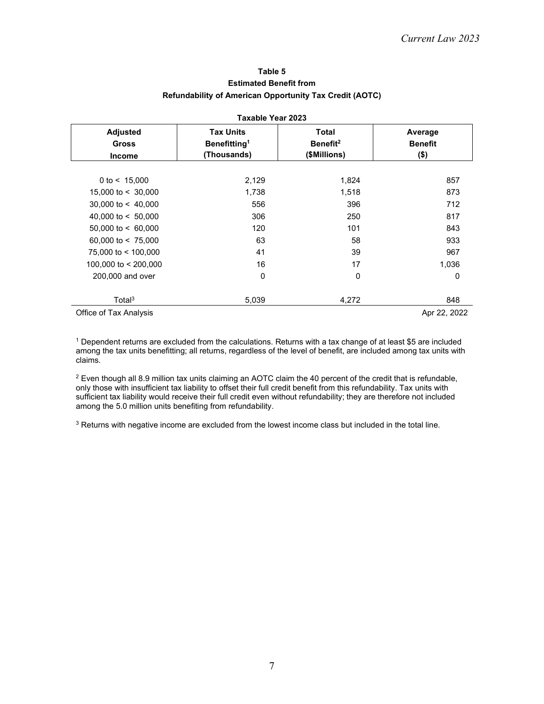### **Table 5 Estimated Benefit from Refundability of American Opportunity Tax Credit (AOTC)**

| Taxable Year 2023                                |                                                             |                                                      |                                      |  |
|--------------------------------------------------|-------------------------------------------------------------|------------------------------------------------------|--------------------------------------|--|
| <b>Adjusted</b><br><b>Gross</b><br><b>Income</b> | <b>Tax Units</b><br>Benefitting <sup>1</sup><br>(Thousands) | <b>Total</b><br>Benefit <sup>2</sup><br>(\$Millions) | Average<br><b>Benefit</b><br>$($ \$) |  |
|                                                  |                                                             |                                                      |                                      |  |
| 0 to $< 15,000$                                  | 2,129                                                       | 1,824                                                | 857                                  |  |
| 15,000 to $<$ 30,000                             | 1,738                                                       | 1,518                                                | 873                                  |  |
| 30,000 to $< 40,000$                             | 556                                                         | 396                                                  | 712                                  |  |
| 40,000 to $< 50,000$                             | 306                                                         | 250                                                  | 817                                  |  |
| $50,000$ to < 60,000                             | 120                                                         | 101                                                  | 843                                  |  |
| 60,000 to $< 75,000$                             | 63                                                          | 58                                                   | 933                                  |  |
| 75,000 to < 100,000                              | 41                                                          | 39                                                   | 967                                  |  |
| 100,000 to < 200,000                             | 16                                                          | 17                                                   | 1,036                                |  |
| 200,000 and over                                 | 0                                                           | 0                                                    | 0                                    |  |
| Total <sup>3</sup>                               | 5,039                                                       | 4,272                                                | 848                                  |  |
| Office of Tax Analysis                           |                                                             |                                                      | Apr 22, 2022                         |  |

<sup>1</sup> Dependent returns are excluded from the calculations. Returns with a tax change of at least \$5 are included among the tax units benefitting; all returns, regardless of the level of benefit, are included among tax units with claims.

<sup>2</sup> Even though all 8.9 million tax units claiming an AOTC claim the 40 percent of the credit that is refundable, only those with insufficient tax liability to offset their full credit benefit from this refundability. Tax units with sufficient tax liability would receive their full credit even without refundability; they are therefore not included among the 5.0 million units benefiting from refundability.